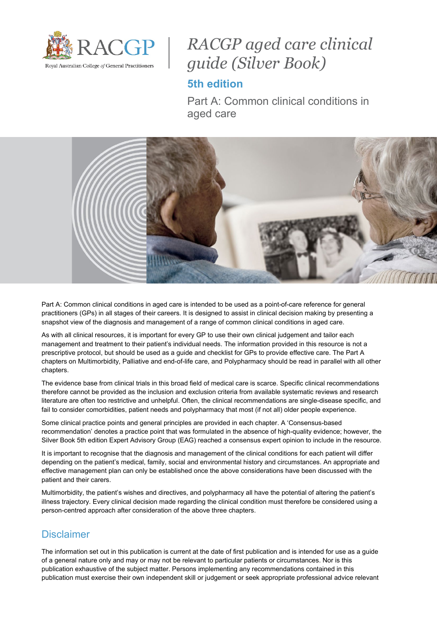

# *RACGP aged care clinical guide (Silver Book)*

# **5th edition**

Part A: Common clinical conditions in aged care



Part A: Common clinical conditions in aged care is intended to be used as a point-of-care reference for general practitioners (GPs) in all stages of their careers. It is designed to assist in clinical decision making by presenting a snapshot view of the diagnosis and management of a range of common clinical conditions in aged care.

As with all clinical resources, it is important for every GP to use their own clinical judgement and tailor each management and treatment to their patient's individual needs. The information provided in this resource is not a prescriptive protocol, but should be used as a guide and checklist for GPs to provide effective care. The Part A chapters on Multimorbidity, Palliative and end-of-life care, and Polypharmacy should be read in parallel with all other chapters.

The evidence base from clinical trials in this broad field of medical care is scarce. Specific clinical recommendations therefore cannot be provided as the inclusion and exclusion criteria from available systematic reviews and research literature are often too restrictive and unhelpful. Often, the clinical recommendations are single-disease specific, and fail to consider comorbidities, patient needs and polypharmacy that most (if not all) older people experience.

Some clinical practice points and general principles are provided in each chapter. A 'Consensus-based recommendation' denotes a practice point that was formulated in the absence of high-quality evidence; however, the Silver Book 5th edition Expert Advisory Group (EAG) reached a consensus expert opinion to include in the resource.

It is important to recognise that the diagnosis and management of the clinical conditions for each patient will differ depending on the patient's medical, family, social and environmental history and circumstances. An appropriate and effective management plan can only be established once the above considerations have been discussed with the patient and their carers.

Multimorbidity, the patient's wishes and directives, and polypharmacy all have the potential of altering the patient's illness trajectory. Every clinical decision made regarding the clinical condition must therefore be considered using a person-centred approach after consideration of the above three chapters.

## **Disclaimer**

The information set out in this publication is current at the date of first publication and is intended for use as a guide of a general nature only and may or may not be relevant to particular patients or circumstances. Nor is this publication exhaustive of the subject matter. Persons implementing any recommendations contained in this publication must exercise their own independent skill or judgement or seek appropriate professional advice relevant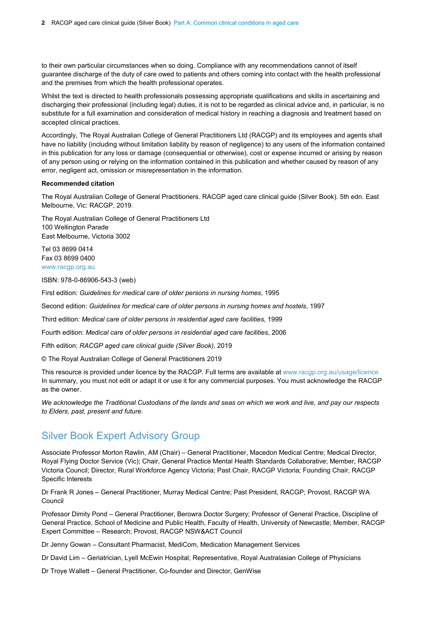to their own particular circumstances when so doing. Compliance with any recommendations cannot of itself guarantee discharge of the duty of care owed to patients and others coming into contact with the health professional and the premises from which the health professional operates.

Whilst the text is directed to health professionals possessing appropriate qualifications and skills in ascertaining and discharging their professional (including legal) duties, it is not to be regarded as clinical advice and, in particular, is no substitute for a full examination and consideration of medical history in reaching a diagnosis and treatment based on accepted clinical practices.

Accordingly, The Royal Australian College of General Practitioners Ltd (RACGP) and its employees and agents shall have no liability (including without limitation liability by reason of negligence) to any users of the information contained in this publication for any loss or damage (consequential or otherwise), cost or expense incurred or arising by reason of any person using or relying on the information contained in this publication and whether caused by reason of any error, negligent act, omission or misrepresentation in the information.

#### **Recommended citation**

The Royal Australian College of General Practitioners. RACGP aged care clinical guide (Silver Book). 5th edn. East Melbourne, Vic: RACGP, 2019.

The Royal Australian College of General Practitioners Ltd 100 Wellington Parade East Melbourne, Victoria 3002

Tel 03 8699 0414 Fax 03 8699 0400 [www.racgp.org.au](http://www.racgp.org.au/)

ISBN: 978-0-86906-543-3 (web)

First edition: *Guidelines for medical care of older persons in nursing homes*, 1995

Second edition: *Guidelines for medical care of older persons in nursing homes and hostels*, 1997

Third edition: *Medical care of older persons in residential aged care facilities*, 1999

Fourth edition: *Medical care of older persons in residential aged care facilities*, 2006

Fifth edition: *RACGP aged care clinical guide (Silver Book)*, 2019

© The Royal Australian College of General Practitioners 2019

This resource is provided under licence by the RACGP. Full terms are available at [www.racgp.org.au/usage/licence](http://www.racgp.org.au/usage/licence) In summary, you must not edit or adapt it or use it for any commercial purposes. You must acknowledge the RACGP as the owner.

*We acknowledge the Traditional Custodians of the lands and seas on which we work and live, and pay our respects to Elders, past, present and future.*

## Silver Book Expert Advisory Group

Associate Professor Morton Rawlin, AM (Chair) – General Practitioner, Macedon Medical Centre; Medical Director, Royal Flying Doctor Service (Vic); Chair, General Practice Mental Health Standards Collaborative; Member, RACGP Victoria Council; Director, Rural Workforce Agency Victoria; Past Chair, RACGP Victoria; Founding Chair, RACGP Specific Interests

Dr Frank R Jones - General Practitioner, Murray Medical Centre; Past President, RACGP; Provost, RACGP WA Council

Professor Dimity Pond – General Practitioner, Berowra Doctor Surgery; Professor of General Practice, Discipline of General Practice, School of Medicine and Public Health, Faculty of Health, University of Newcastle; Member, RACGP Expert Committee – Research; Provost, RACGP NSW&ACT Council

Dr Jenny Gowan – Consultant Pharmacist, MediCom, Medication Management Services

Dr David Lim – Geriatrician, Lyell McEwin Hospital; Representative, Royal Australasian College of Physicians

Dr Troye Wallett – General Practitioner, Co-founder and Director, GenWise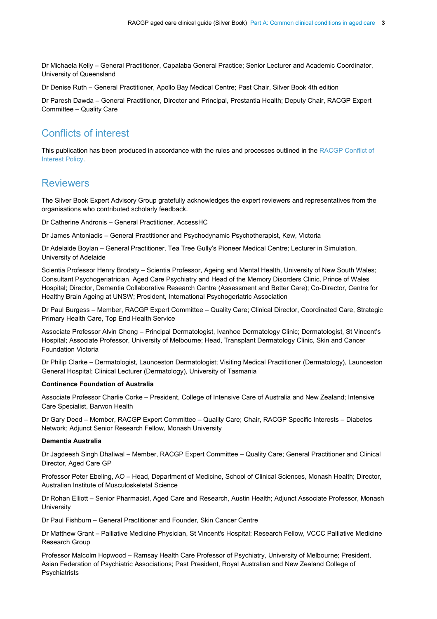Dr Michaela Kelly – General Practitioner, Capalaba General Practice; Senior Lecturer and Academic Coordinator, University of Queensland

Dr Denise Ruth – General Practitioner, Apollo Bay Medical Centre; Past Chair, Silver Book 4th edition

Dr Paresh Dawda – General Practitioner, Director and Principal, Prestantia Health; Deputy Chair, RACGP Expert Committee – Quality Care

## Conflicts of interest

This publication has been produced in accordance with the rules and processes outlined in the [RACGP Conflict of](http://www.racgp.org.au/support/policies/organisational)  [Interest](http://www.racgp.org.au/support/policies/organisational) Policy.

## **Reviewers**

The Silver Book Expert Advisory Group gratefully acknowledges the expert reviewers and representatives from the organisations who contributed scholarly feedback.

Dr Catherine Andronis – General Practitioner, AccessHC

Dr James Antoniadis – General Practitioner and Psychodynamic Psychotherapist, Kew, Victoria

Dr Adelaide Boylan – General Practitioner, Tea Tree Gully's Pioneer Medical Centre; Lecturer in Simulation, University of Adelaide

Scientia Professor Henry Brodaty – Scientia Professor, Ageing and Mental Health, University of New South Wales; Consultant Psychogeriatrician, Aged Care Psychiatry and Head of the Memory Disorders Clinic, Prince of Wales Hospital; Director, Dementia Collaborative Research Centre (Assessment and Better Care); Co-Director, Centre for Healthy Brain Ageing at UNSW; President, International Psychogeriatric Association

Dr Paul Burgess – Member, RACGP Expert Committee – Quality Care; Clinical Director, Coordinated Care, Strategic Primary Health Care, Top End Health Service

Associate Professor Alvin Chong – Principal Dermatologist, Ivanhoe Dermatology Clinic; Dermatologist, St Vincent's Hospital; Associate Professor, University of Melbourne; Head, Transplant Dermatology Clinic, Skin and Cancer Foundation Victoria

Dr Philip Clarke – Dermatologist, Launceston Dermatologist; Visiting Medical Practitioner (Dermatology), Launceston General Hospital; Clinical Lecturer (Dermatology), University of Tasmania

### **Continence Foundation of Australia**

Associate Professor Charlie Corke – President, College of Intensive Care of Australia and New Zealand; Intensive Care Specialist, Barwon Health

Dr Gary Deed – Member, RACGP Expert Committee – Quality Care; Chair, RACGP Specific Interests – Diabetes Network; Adjunct Senior Research Fellow, Monash University

### **Dementia Australia**

Dr Jagdeesh Singh Dhaliwal – Member, RACGP Expert Committee – Quality Care; General Practitioner and Clinical Director, Aged Care GP

Professor Peter Ebeling, AO – Head, Department of Medicine, School of Clinical Sciences, Monash Health; Director, Australian Institute of Musculoskeletal Science

Dr Rohan Elliott – Senior Pharmacist, Aged Care and Research, Austin Health; Adjunct Associate Professor, Monash **University** 

Dr Paul Fishburn – General Practitioner and Founder, Skin Cancer Centre

Dr Matthew Grant – Palliative Medicine Physician, St Vincent's Hospital; Research Fellow, VCCC Palliative Medicine Research Group

Professor Malcolm Hopwood – Ramsay Health Care Professor of Psychiatry, University of Melbourne; President, Asian Federation of Psychiatric Associations; Past President, Royal Australian and New Zealand College of Psychiatrists